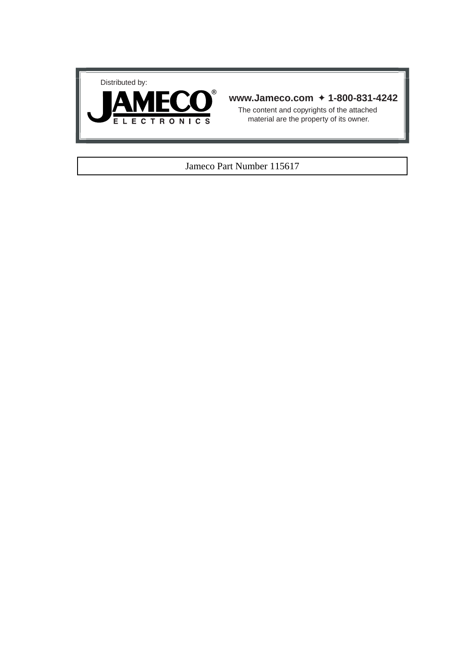



## **www.Jameco.com** ✦ **1-800-831-4242**

The content and copyrights of the attached material are the property of its owner.

## Jameco Part Number 115617